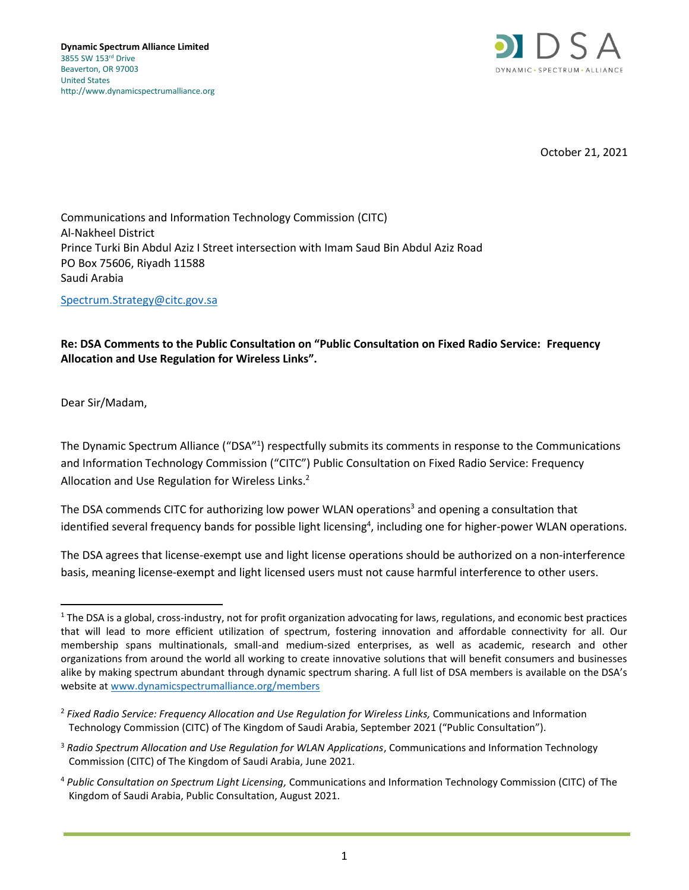

October 21, 2021

Communications and Information Technology Commission (CITC) Al-Nakheel District Prince Turki Bin Abdul Aziz I Street intersection with Imam Saud Bin Abdul Aziz Road PO Box 75606, Riyadh 11588 Saudi Arabia

[Spectrum.Strategy@citc.gov.sa](mailto:Spectrum.Strategy@citc.gov.sa)

## **Re: DSA Comments to the Public Consultation on "Public Consultation on Fixed Radio Service: Frequency Allocation and Use Regulation for Wireless Links".**

Dear Sir/Madam,

The Dynamic Spectrum Alliance ("DSA"1) respectfully submits its comments in response to the Communications and Information Technology Commission ("CITC") Public Consultation on Fixed Radio Service: Frequency Allocation and Use Regulation for Wireless Links.<sup>2</sup>

The DSA commends CITC for authorizing low power WLAN operations<sup>3</sup> and opening a consultation that identified several frequency bands for possible light licensing<sup>4</sup>, including one for higher-power WLAN operations.

The DSA agrees that license-exempt use and light license operations should be authorized on a non-interference basis, meaning license-exempt and light licensed users must not cause harmful interference to other users.

 $1$  The DSA is a global, cross-industry, not for profit organization advocating for laws, regulations, and economic best practices that will lead to more efficient utilization of spectrum, fostering innovation and affordable connectivity for all. Our membership spans multinationals, small-and medium-sized enterprises, as well as academic, research and other organizations from around the world all working to create innovative solutions that will benefit consumers and businesses alike by making spectrum abundant through dynamic spectrum sharing. A full list of DSA members is available on the DSA's website a[t www.dynamicspectrumalliance.org/members](http://www.dynamicspectrumalliance.org/members)

<sup>2</sup> *Fixed Radio Service: Frequency Allocation and Use Regulation for Wireless Links,* Communications and Information Technology Commission (CITC) of The Kingdom of Saudi Arabia, September 2021 ("Public Consultation").

<sup>3</sup> *Radio Spectrum Allocation and Use Regulation for WLAN Applications*, Communications and Information Technology Commission (CITC) of The Kingdom of Saudi Arabia, June 2021.

<sup>4</sup> *Public Consultation on Spectrum Light Licensing,* Communications and Information Technology Commission (CITC) of The Kingdom of Saudi Arabia, Public Consultation, August 2021.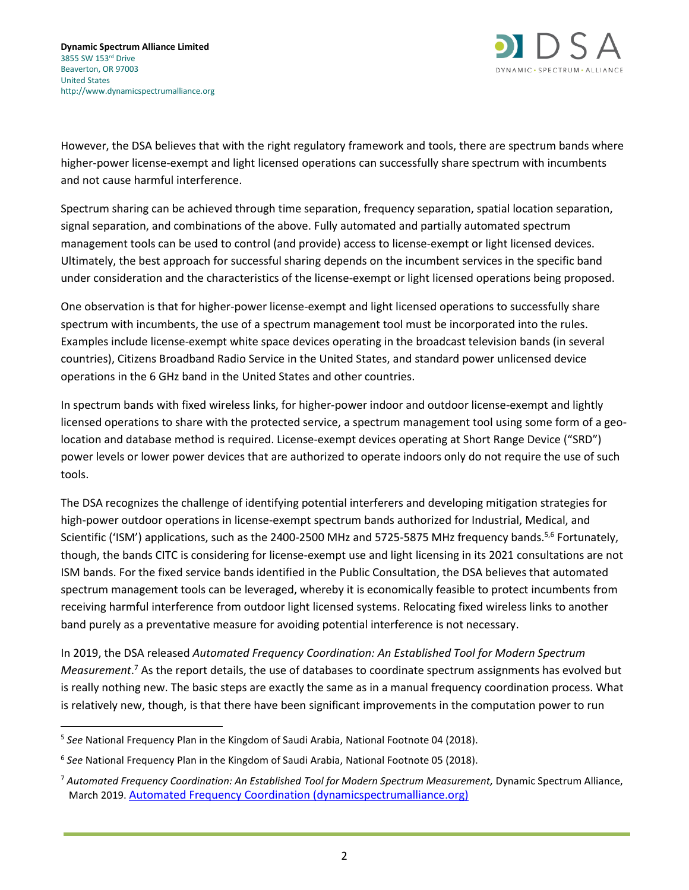

However, the DSA believes that with the right regulatory framework and tools, there are spectrum bands where higher-power license-exempt and light licensed operations can successfully share spectrum with incumbents and not cause harmful interference.

Spectrum sharing can be achieved through time separation, frequency separation, spatial location separation, signal separation, and combinations of the above. Fully automated and partially automated spectrum management tools can be used to control (and provide) access to license-exempt or light licensed devices. Ultimately, the best approach for successful sharing depends on the incumbent services in the specific band under consideration and the characteristics of the license-exempt or light licensed operations being proposed.

One observation is that for higher-power license-exempt and light licensed operations to successfully share spectrum with incumbents, the use of a spectrum management tool must be incorporated into the rules. Examples include license-exempt white space devices operating in the broadcast television bands (in several countries), Citizens Broadband Radio Service in the United States, and standard power unlicensed device operations in the 6 GHz band in the United States and other countries.

In spectrum bands with fixed wireless links, for higher-power indoor and outdoor license-exempt and lightly licensed operations to share with the protected service, a spectrum management tool using some form of a geolocation and database method is required. License-exempt devices operating at Short Range Device ("SRD") power levels or lower power devices that are authorized to operate indoors only do not require the use of such tools.

The DSA recognizes the challenge of identifying potential interferers and developing mitigation strategies for high-power outdoor operations in license-exempt spectrum bands authorized for Industrial, Medical, and Scientific ('ISM') applications, such as the 2400-2500 MHz and 5725-5875 MHz frequency bands.<sup>5,6</sup> Fortunately, though, the bands CITC is considering for license-exempt use and light licensing in its 2021 consultations are not ISM bands. For the fixed service bands identified in the Public Consultation, the DSA believes that automated spectrum management tools can be leveraged, whereby it is economically feasible to protect incumbents from receiving harmful interference from outdoor light licensed systems. Relocating fixed wireless links to another band purely as a preventative measure for avoiding potential interference is not necessary.

In 2019, the DSA released *Automated Frequency Coordination: An Established Tool for Modern Spectrum Measurement*. <sup>7</sup> As the report details, the use of databases to coordinate spectrum assignments has evolved but is really nothing new. The basic steps are exactly the same as in a manual frequency coordination process. What is relatively new, though, is that there have been significant improvements in the computation power to run

<sup>5</sup> *See* National Frequency Plan in the Kingdom of Saudi Arabia, National Footnote 04 (2018).

<sup>6</sup> *See* National Frequency Plan in the Kingdom of Saudi Arabia, National Footnote 05 (2018).

<sup>7</sup> *Automated Frequency Coordination: An Established Tool for Modern Spectrum Measurement,* Dynamic Spectrum Alliance, March 2019. [Automated Frequency Coordination \(dynamicspectrumalliance.org\)](http://dynamicspectrumalliance.org/wp-content/uploads/2019/03/DSA_DB-Report_Final_03122019.pdf)